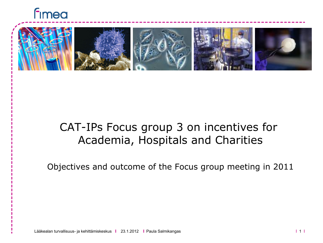



#### CAT-IPs Focus group 3 on incentives for Academia, Hospitals and Charities

Objectives and outcome of the Focus group meeting in 2011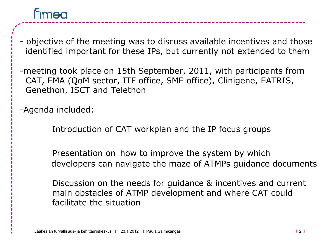# **Fimea**

- objective of the meeting was to discuss available incentives and those identified important for these IPs, but currently not extended to them

-meeting took place on 15th September, 2011, with participants from CAT, EMA (QoM sector, ITF office, SME office), Clinigene, EATRIS, Genethon, ISCT and Telethon

-Agenda included:

Introduction of CAT workplan and the IP focus groups

Presentation on how to improve the system by which developers can navigate the maze of ATMPs guidance documents

Discussion on the needs for guidance & incentives and current main obstacles of ATMP development and where CAT could facilitate the situation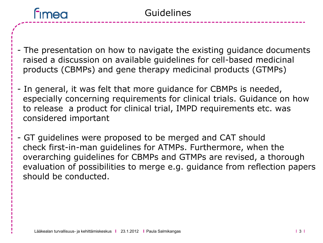

- The presentation on how to navigate the existing guidance documents raised a discussion on available guidelines for cell-based medicinal products (CBMPs) and gene therapy medicinal products (GTMPs)
- In general, it was felt that more guidance for CBMPs is needed, especially concerning requirements for clinical trials. Guidance on how to release a product for clinical trial, IMPD requirements etc. was considered important
- GT guidelines were proposed to be merged and CAT should check first-in-man guidelines for ATMPs. Furthermore, when the overarching guidelines for CBMPs and GTMPs are revised, a thorough evaluation of possibilities to merge e.g. guidance from reflection papers should be conducted.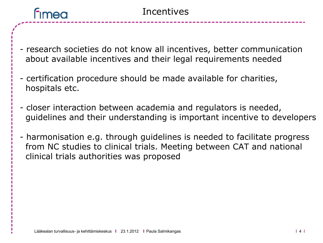## **Fimea**

- research societies do not know all incentives, better communication about available incentives and their legal requirements needed
- certification procedure should be made available for charities, hospitals etc.
- closer interaction between academia and regulators is needed, guidelines and their understanding is important incentive to developers
- harmonisation e.g. through guidelines is needed to facilitate progress from NC studies to clinical trials. Meeting between CAT and national clinical trials authorities was proposed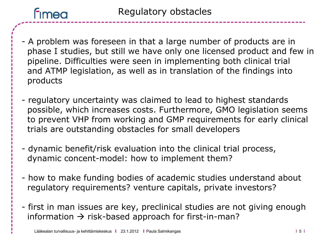

Regulatory obstacles

- A problem was foreseen in that a large number of products are in phase I studies, but still we have only one licensed product and few in pipeline. Difficulties were seen in implementing both clinical trial and ATMP legislation, as well as in translation of the findings into products
- regulatory uncertainty was claimed to lead to highest standards possible, which increases costs. Furthermore, GMO legislation seems to prevent VHP from working and GMP requirements for early clinical trials are outstanding obstacles for small developers
- dynamic benefit/risk evaluation into the clinical trial process, dynamic concent-model: how to implement them?
- how to make funding bodies of academic studies understand about regulatory requirements? venture capitals, private investors?
- first in man issues are key, preclinical studies are not giving enough information  $\rightarrow$  risk-based approach for first-in-man?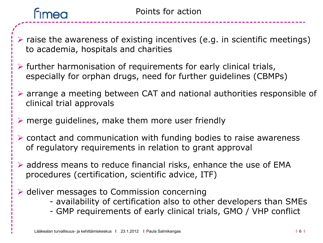

- $\triangleright$  raise the awareness of existing incentives (e.g. in scientific meetings) to academia, hospitals and charities
- $\triangleright$  further harmonisation of requirements for early clinical trials, especially for orphan drugs, need for further guidelines (CBMPs)
- arrange a meeting between CAT and national authorities responsible of clinical trial approvals
- $\triangleright$  merge guidelines, make them more user friendly
- $\triangleright$  contact and communication with funding bodies to raise awareness of regulatory requirements in relation to grant approval
- $\triangleright$  address means to reduce financial risks, enhance the use of EMA procedures (certification, scientific advice, ITF)
- $\triangleright$  deliver messages to Commission concerning
	- availability of certification also to other developers than SMEs
	- GMP requirements of early clinical trials, GMO / VHP conflict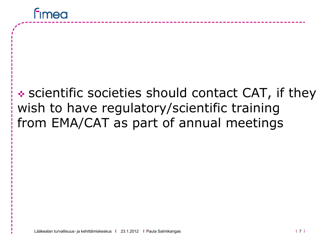### \* scientific societies should contact CAT, if they wish to have regulatory/scientific training from EMA/CAT as part of annual meetings